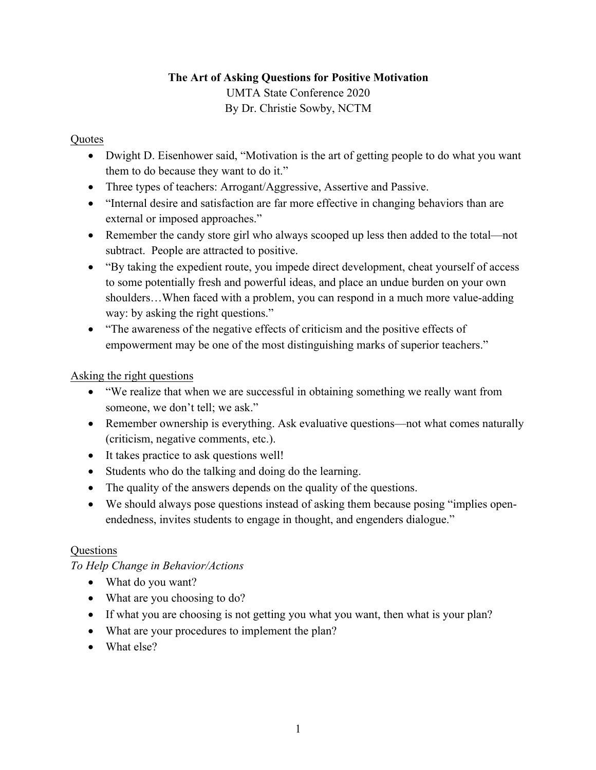# **The Art of Asking Questions for Positive Motivation** UMTA State Conference 2020 By Dr. Christie Sowby, NCTM

#### **Quotes**

- Dwight D. Eisenhower said, "Motivation is the art of getting people to do what you want them to do because they want to do it."
- Three types of teachers: Arrogant/Aggressive, Assertive and Passive.
- "Internal desire and satisfaction are far more effective in changing behaviors than are external or imposed approaches."
- Remember the candy store girl who always scooped up less then added to the total—not subtract. People are attracted to positive.
- "By taking the expedient route, you impede direct development, cheat yourself of access to some potentially fresh and powerful ideas, and place an undue burden on your own shoulders…When faced with a problem, you can respond in a much more value-adding way: by asking the right questions."
- "The awareness of the negative effects of criticism and the positive effects of empowerment may be one of the most distinguishing marks of superior teachers."

# Asking the right questions

- "We realize that when we are successful in obtaining something we really want from someone, we don't tell; we ask."
- Remember ownership is everything. Ask evaluative questions—not what comes naturally (criticism, negative comments, etc.).
- It takes practice to ask questions well!
- Students who do the talking and doing do the learning.
- The quality of the answers depends on the quality of the questions.
- We should always pose questions instead of asking them because posing "implies openendedness, invites students to engage in thought, and engenders dialogue."

# **Questions**

*To Help Change in Behavior/Actions*

- What do you want?
- What are you choosing to do?
- If what you are choosing is not getting you what you want, then what is your plan?
- What are your procedures to implement the plan?
- What else?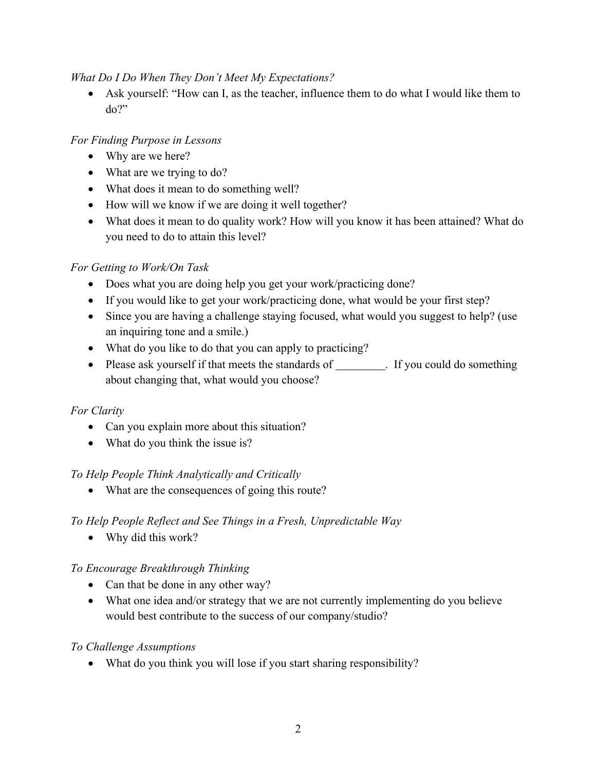#### *What Do I Do When They Don't Meet My Expectations?*

• Ask yourself: "How can I, as the teacher, influence them to do what I would like them to do?"

# *For Finding Purpose in Lessons*

- Why are we here?
- What are we trying to do?
- What does it mean to do something well?
- How will we know if we are doing it well together?
- What does it mean to do quality work? How will you know it has been attained? What do you need to do to attain this level?

# *For Getting to Work/On Task*

- Does what you are doing help you get your work/practicing done?
- If you would like to get your work/practicing done, what would be your first step?
- Since you are having a challenge staying focused, what would you suggest to help? (use an inquiring tone and a smile.)
- What do you like to do that you can apply to practicing?
- Please ask yourself if that meets the standards of . If you could do something about changing that, what would you choose?

# *For Clarity*

- Can you explain more about this situation?
- What do you think the issue is?

# *To Help People Think Analytically and Critically*

• What are the consequences of going this route?

# *To Help People Reflect and See Things in a Fresh, Unpredictable Way*

• Why did this work?

# *To Encourage Breakthrough Thinking*

- Can that be done in any other way?
- What one idea and/or strategy that we are not currently implementing do you believe would best contribute to the success of our company/studio?

#### *To Challenge Assumptions*

• What do you think you will lose if you start sharing responsibility?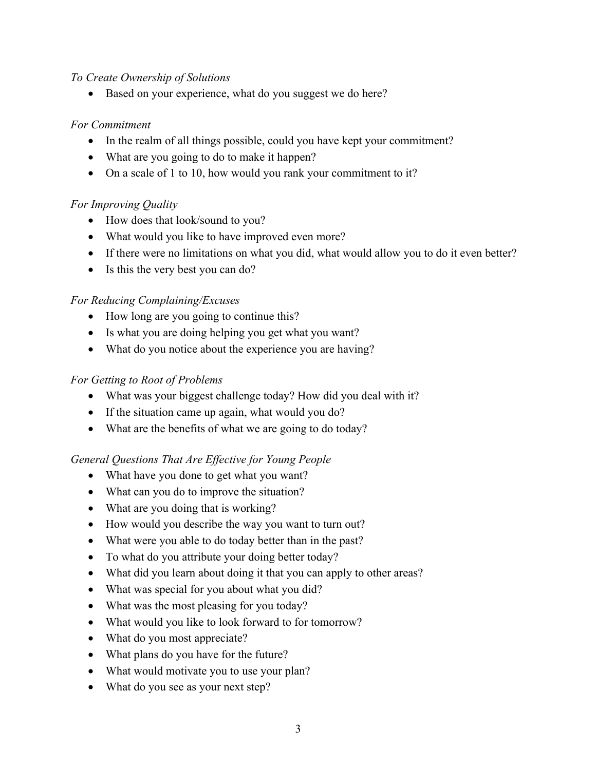#### *To Create Ownership of Solutions*

• Based on your experience, what do you suggest we do here?

#### *For Commitment*

- In the realm of all things possible, could you have kept your commitment?
- What are you going to do to make it happen?
- On a scale of 1 to 10, how would you rank your commitment to it?

# *For Improving Quality*

- How does that look/sound to you?
- What would you like to have improved even more?
- If there were no limitations on what you did, what would allow you to do it even better?
- Is this the very best you can do?

# *For Reducing Complaining/Excuses*

- How long are you going to continue this?
- Is what you are doing helping you get what you want?
- What do you notice about the experience you are having?

# *For Getting to Root of Problems*

- What was your biggest challenge today? How did you deal with it?
- If the situation came up again, what would you do?
- What are the benefits of what we are going to do today?

# *General Questions That Are Effective for Young People*

- What have you done to get what you want?
- What can you do to improve the situation?
- What are you doing that is working?
- How would you describe the way you want to turn out?
- What were you able to do today better than in the past?
- To what do you attribute your doing better today?
- What did you learn about doing it that you can apply to other areas?
- What was special for you about what you did?
- What was the most pleasing for you today?
- What would you like to look forward to for tomorrow?
- What do you most appreciate?
- What plans do you have for the future?
- What would motivate you to use your plan?
- What do you see as your next step?